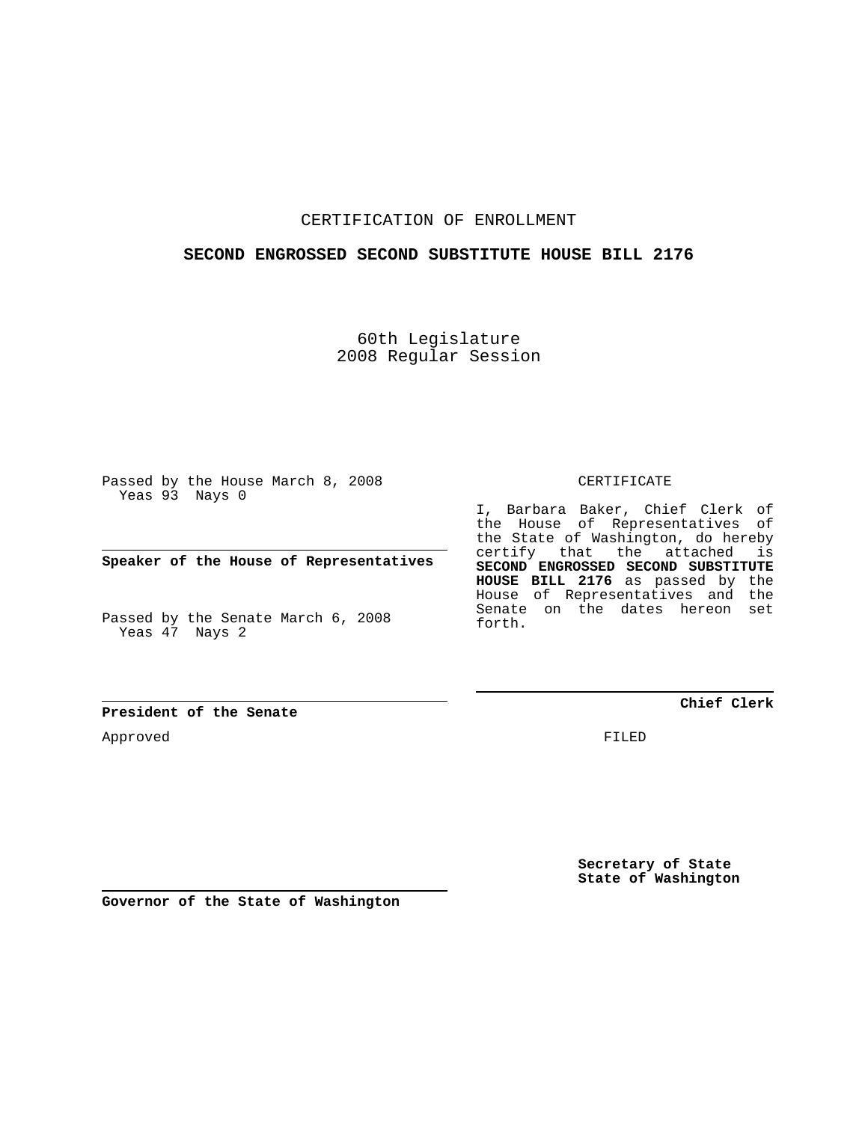## CERTIFICATION OF ENROLLMENT

## **SECOND ENGROSSED SECOND SUBSTITUTE HOUSE BILL 2176**

60th Legislature 2008 Regular Session

Passed by the House March 8, 2008 Yeas 93 Nays 0

**Speaker of the House of Representatives**

Passed by the Senate March 6, 2008 Yeas 47 Nays 2

**President of the Senate**

Approved

CERTIFICATE

I, Barbara Baker, Chief Clerk of the House of Representatives of the State of Washington, do hereby certify that the attached is **SECOND ENGROSSED SECOND SUBSTITUTE HOUSE BILL 2176** as passed by the House of Representatives and the Senate on the dates hereon set forth.

**Chief Clerk**

FILED

**Secretary of State State of Washington**

**Governor of the State of Washington**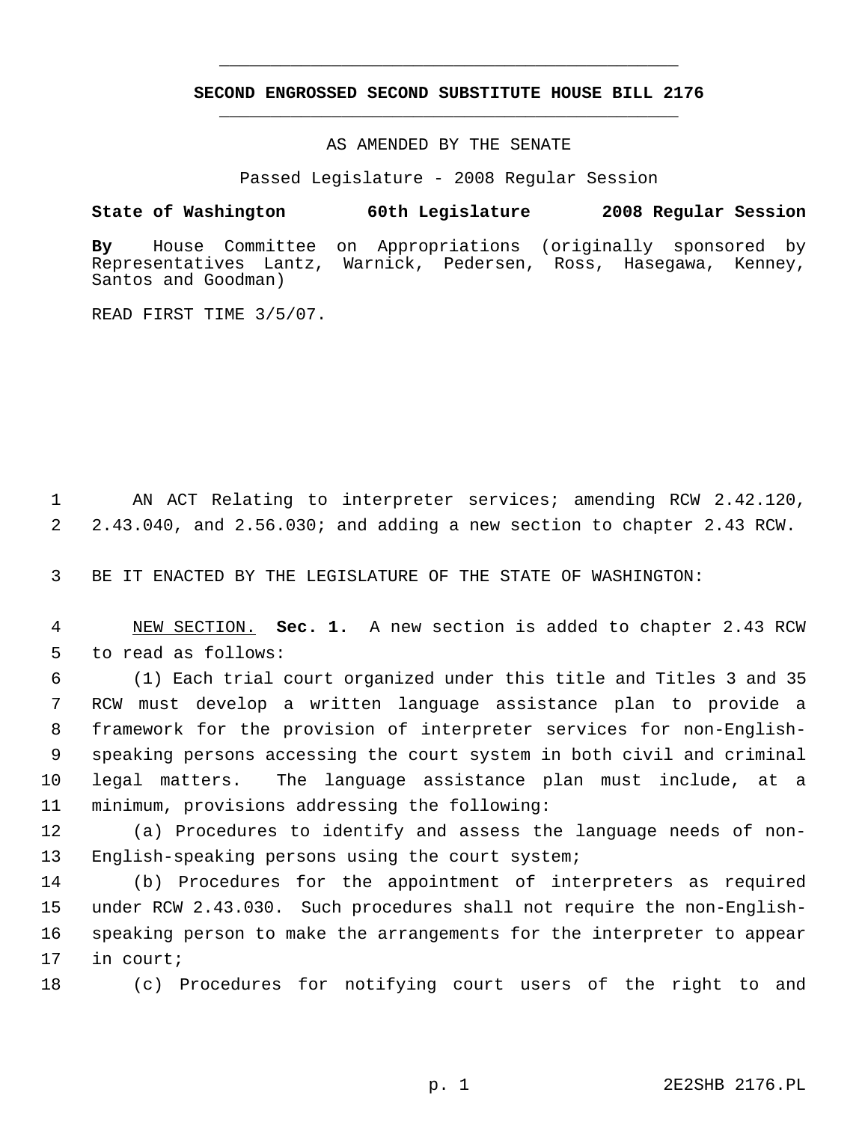## **SECOND ENGROSSED SECOND SUBSTITUTE HOUSE BILL 2176** \_\_\_\_\_\_\_\_\_\_\_\_\_\_\_\_\_\_\_\_\_\_\_\_\_\_\_\_\_\_\_\_\_\_\_\_\_\_\_\_\_\_\_\_\_

\_\_\_\_\_\_\_\_\_\_\_\_\_\_\_\_\_\_\_\_\_\_\_\_\_\_\_\_\_\_\_\_\_\_\_\_\_\_\_\_\_\_\_\_\_

AS AMENDED BY THE SENATE

Passed Legislature - 2008 Regular Session

## **State of Washington 60th Legislature 2008 Regular Session**

**By** House Committee on Appropriations (originally sponsored by Representatives Lantz, Warnick, Pedersen, Ross, Hasegawa, Kenney, Santos and Goodman)

READ FIRST TIME 3/5/07.

 AN ACT Relating to interpreter services; amending RCW 2.42.120, 2.43.040, and 2.56.030; and adding a new section to chapter 2.43 RCW.

BE IT ENACTED BY THE LEGISLATURE OF THE STATE OF WASHINGTON:

 NEW SECTION. **Sec. 1.** A new section is added to chapter 2.43 RCW to read as follows:

 (1) Each trial court organized under this title and Titles 3 and 35 RCW must develop a written language assistance plan to provide a framework for the provision of interpreter services for non-English- speaking persons accessing the court system in both civil and criminal legal matters. The language assistance plan must include, at a minimum, provisions addressing the following:

 (a) Procedures to identify and assess the language needs of non-English-speaking persons using the court system;

 (b) Procedures for the appointment of interpreters as required under RCW 2.43.030. Such procedures shall not require the non-English- speaking person to make the arrangements for the interpreter to appear in court;

(c) Procedures for notifying court users of the right to and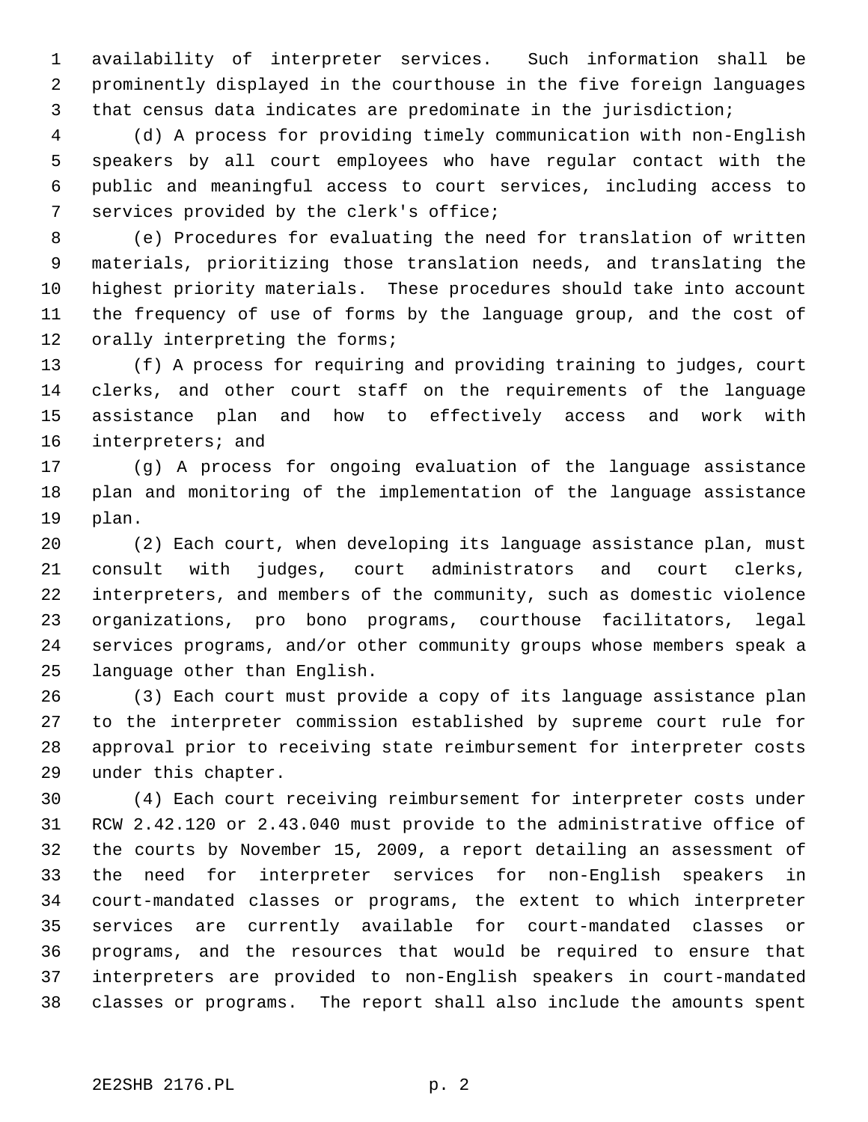availability of interpreter services. Such information shall be prominently displayed in the courthouse in the five foreign languages that census data indicates are predominate in the jurisdiction;

 (d) A process for providing timely communication with non-English speakers by all court employees who have regular contact with the public and meaningful access to court services, including access to services provided by the clerk's office;

 (e) Procedures for evaluating the need for translation of written materials, prioritizing those translation needs, and translating the highest priority materials. These procedures should take into account the frequency of use of forms by the language group, and the cost of 12 orally interpreting the forms;

 (f) A process for requiring and providing training to judges, court clerks, and other court staff on the requirements of the language assistance plan and how to effectively access and work with interpreters; and

 (g) A process for ongoing evaluation of the language assistance plan and monitoring of the implementation of the language assistance plan.

 (2) Each court, when developing its language assistance plan, must consult with judges, court administrators and court clerks, interpreters, and members of the community, such as domestic violence organizations, pro bono programs, courthouse facilitators, legal services programs, and/or other community groups whose members speak a language other than English.

 (3) Each court must provide a copy of its language assistance plan to the interpreter commission established by supreme court rule for approval prior to receiving state reimbursement for interpreter costs under this chapter.

 (4) Each court receiving reimbursement for interpreter costs under RCW 2.42.120 or 2.43.040 must provide to the administrative office of the courts by November 15, 2009, a report detailing an assessment of the need for interpreter services for non-English speakers in court-mandated classes or programs, the extent to which interpreter services are currently available for court-mandated classes or programs, and the resources that would be required to ensure that interpreters are provided to non-English speakers in court-mandated classes or programs. The report shall also include the amounts spent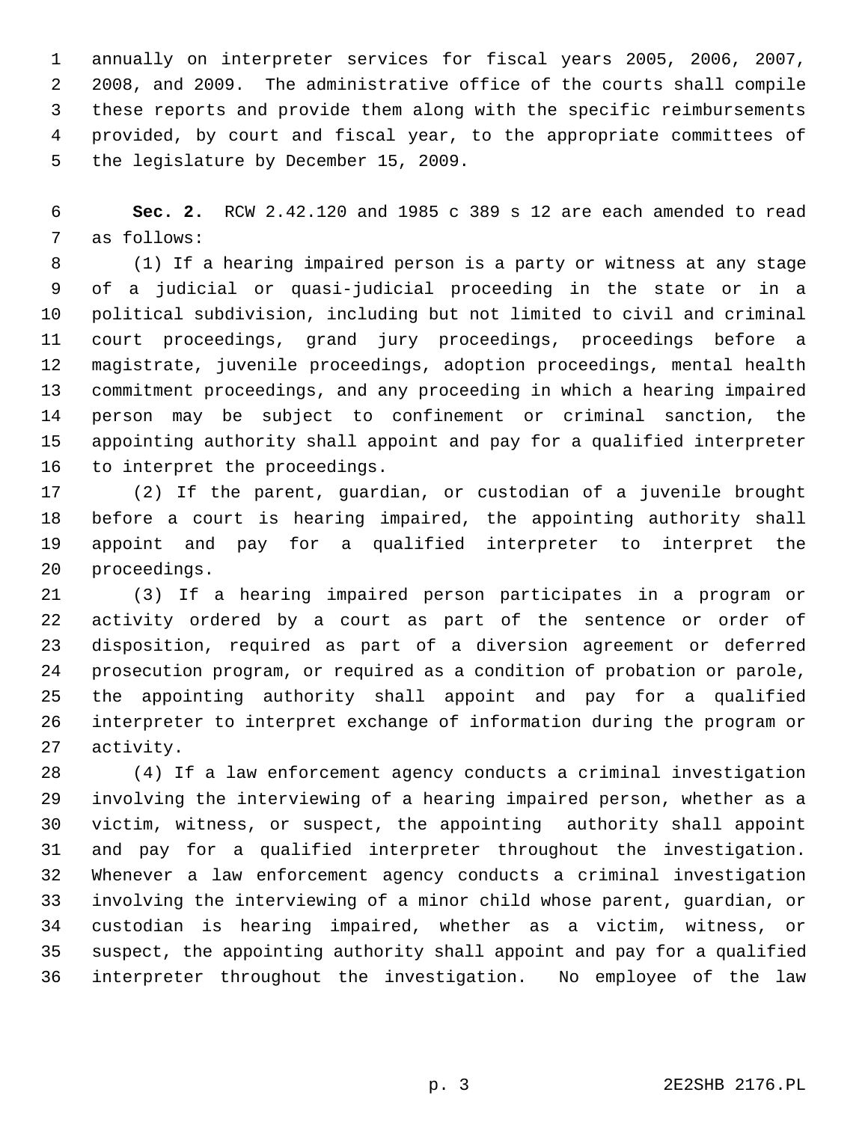annually on interpreter services for fiscal years 2005, 2006, 2007, 2008, and 2009. The administrative office of the courts shall compile these reports and provide them along with the specific reimbursements provided, by court and fiscal year, to the appropriate committees of the legislature by December 15, 2009.

 **Sec. 2.** RCW 2.42.120 and 1985 c 389 s 12 are each amended to read as follows:

 (1) If a hearing impaired person is a party or witness at any stage of a judicial or quasi-judicial proceeding in the state or in a political subdivision, including but not limited to civil and criminal court proceedings, grand jury proceedings, proceedings before a magistrate, juvenile proceedings, adoption proceedings, mental health commitment proceedings, and any proceeding in which a hearing impaired person may be subject to confinement or criminal sanction, the appointing authority shall appoint and pay for a qualified interpreter to interpret the proceedings.

 (2) If the parent, guardian, or custodian of a juvenile brought before a court is hearing impaired, the appointing authority shall appoint and pay for a qualified interpreter to interpret the proceedings.

 (3) If a hearing impaired person participates in a program or activity ordered by a court as part of the sentence or order of disposition, required as part of a diversion agreement or deferred prosecution program, or required as a condition of probation or parole, the appointing authority shall appoint and pay for a qualified interpreter to interpret exchange of information during the program or activity.

 (4) If a law enforcement agency conducts a criminal investigation involving the interviewing of a hearing impaired person, whether as a victim, witness, or suspect, the appointing authority shall appoint and pay for a qualified interpreter throughout the investigation. Whenever a law enforcement agency conducts a criminal investigation involving the interviewing of a minor child whose parent, guardian, or custodian is hearing impaired, whether as a victim, witness, or suspect, the appointing authority shall appoint and pay for a qualified interpreter throughout the investigation. No employee of the law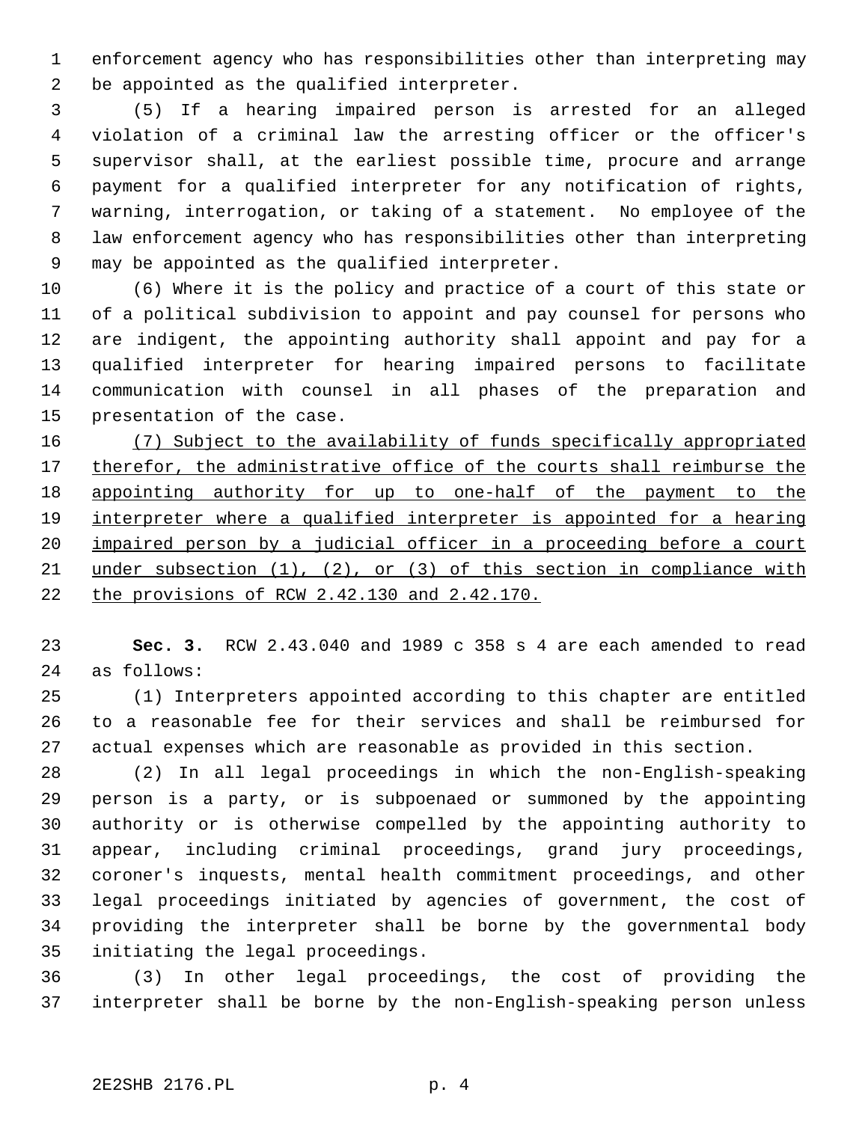enforcement agency who has responsibilities other than interpreting may be appointed as the qualified interpreter.

 (5) If a hearing impaired person is arrested for an alleged violation of a criminal law the arresting officer or the officer's supervisor shall, at the earliest possible time, procure and arrange payment for a qualified interpreter for any notification of rights, warning, interrogation, or taking of a statement. No employee of the law enforcement agency who has responsibilities other than interpreting may be appointed as the qualified interpreter.

 (6) Where it is the policy and practice of a court of this state or of a political subdivision to appoint and pay counsel for persons who are indigent, the appointing authority shall appoint and pay for a qualified interpreter for hearing impaired persons to facilitate communication with counsel in all phases of the preparation and presentation of the case.

 (7) Subject to the availability of funds specifically appropriated 17 therefor, the administrative office of the courts shall reimburse the 18 appointing authority for up to one-half of the payment to the interpreter where a qualified interpreter is appointed for a hearing 20 impaired person by a judicial officer in a proceeding before a court under subsection (1), (2), or (3) of this section in compliance with the provisions of RCW 2.42.130 and 2.42.170.

 **Sec. 3.** RCW 2.43.040 and 1989 c 358 s 4 are each amended to read as follows:

 (1) Interpreters appointed according to this chapter are entitled to a reasonable fee for their services and shall be reimbursed for actual expenses which are reasonable as provided in this section.

 (2) In all legal proceedings in which the non-English-speaking person is a party, or is subpoenaed or summoned by the appointing authority or is otherwise compelled by the appointing authority to appear, including criminal proceedings, grand jury proceedings, coroner's inquests, mental health commitment proceedings, and other legal proceedings initiated by agencies of government, the cost of providing the interpreter shall be borne by the governmental body initiating the legal proceedings.

 (3) In other legal proceedings, the cost of providing the interpreter shall be borne by the non-English-speaking person unless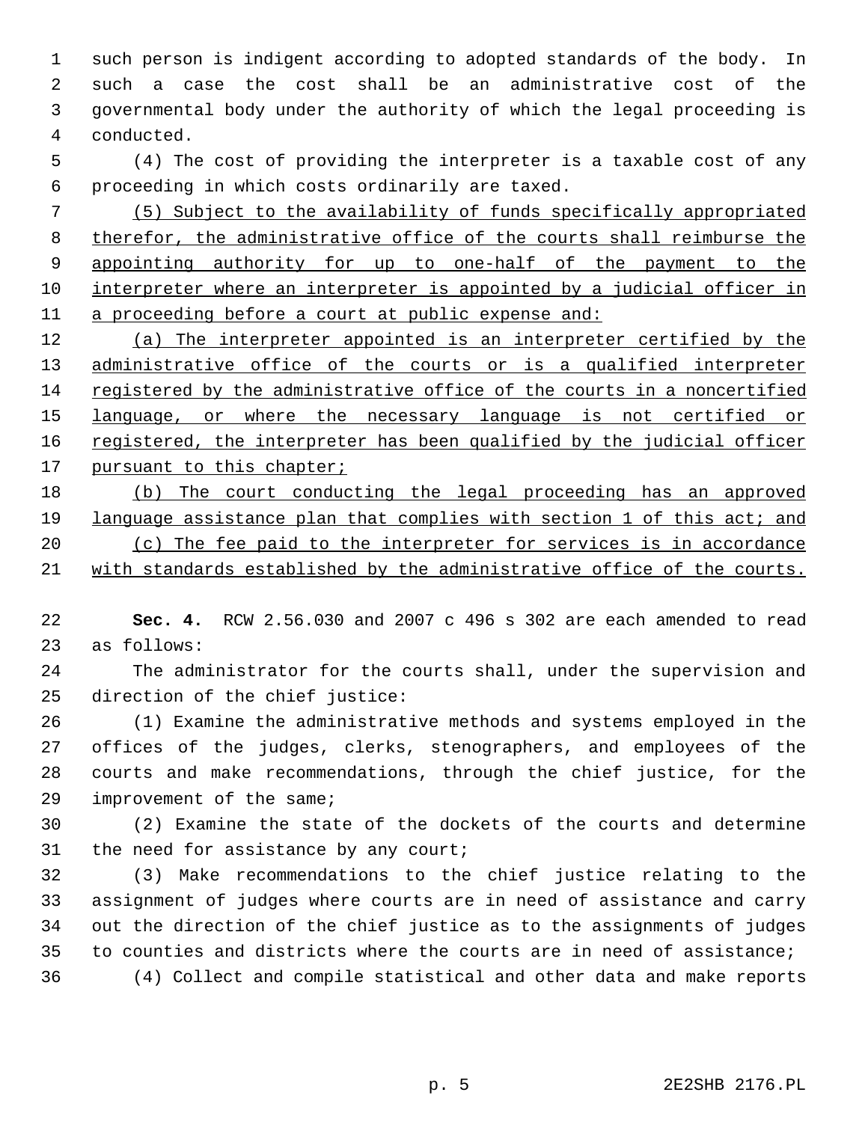such person is indigent according to adopted standards of the body. In such a case the cost shall be an administrative cost of the governmental body under the authority of which the legal proceeding is conducted.

 (4) The cost of providing the interpreter is a taxable cost of any proceeding in which costs ordinarily are taxed.

 (5) Subject to the availability of funds specifically appropriated therefor, the administrative office of the courts shall reimburse the 9 appointing authority for up to one-half of the payment to the interpreter where an interpreter is appointed by a judicial officer in a proceeding before a court at public expense and:

 (a) The interpreter appointed is an interpreter certified by the 13 administrative office of the courts or is a qualified interpreter registered by the administrative office of the courts in a noncertified 15 language, or where the necessary language is not certified or 16 registered, the interpreter has been qualified by the judicial officer 17 pursuant to this chapter;

 (b) The court conducting the legal proceeding has an approved language assistance plan that complies with section 1 of this act; and 20 (c) The fee paid to the interpreter for services is in accordance with standards established by the administrative office of the courts.

 **Sec. 4.** RCW 2.56.030 and 2007 c 496 s 302 are each amended to read as follows:

 The administrator for the courts shall, under the supervision and direction of the chief justice:

 (1) Examine the administrative methods and systems employed in the offices of the judges, clerks, stenographers, and employees of the courts and make recommendations, through the chief justice, for the improvement of the same;

 (2) Examine the state of the dockets of the courts and determine the need for assistance by any court;

 (3) Make recommendations to the chief justice relating to the assignment of judges where courts are in need of assistance and carry out the direction of the chief justice as to the assignments of judges to counties and districts where the courts are in need of assistance; (4) Collect and compile statistical and other data and make reports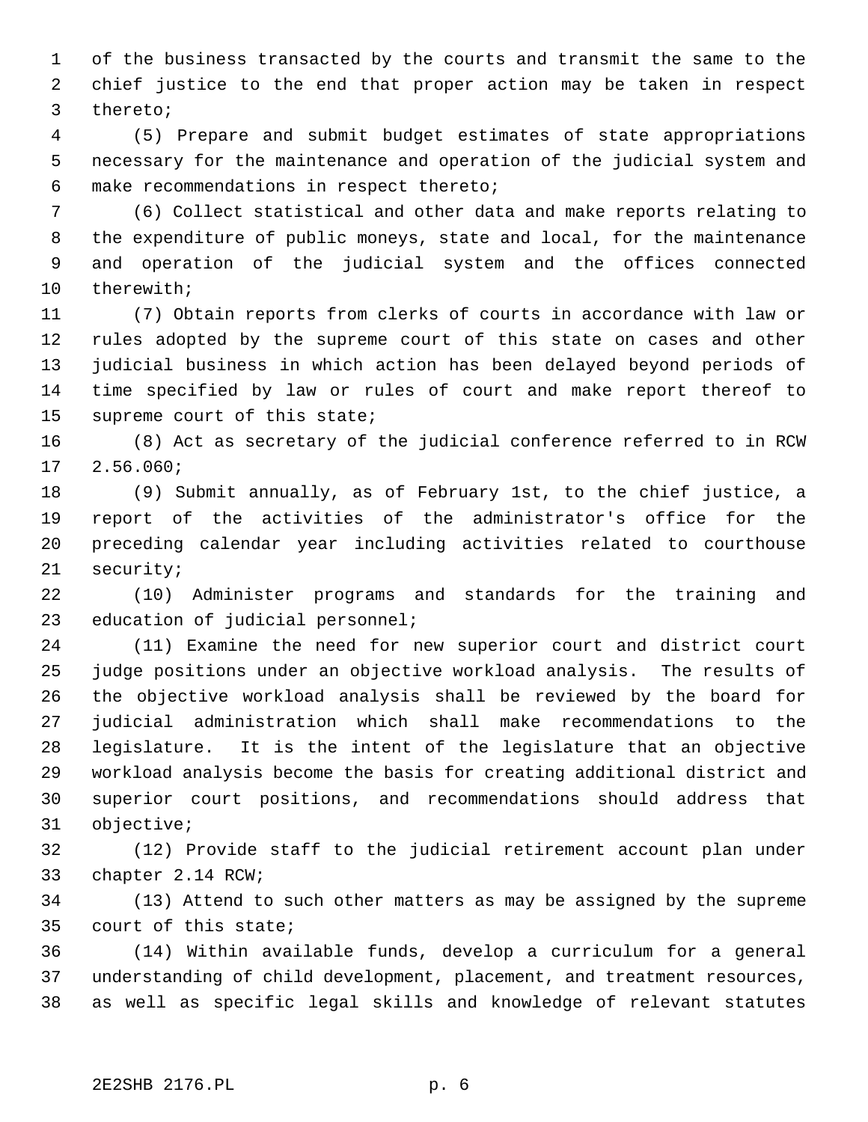of the business transacted by the courts and transmit the same to the chief justice to the end that proper action may be taken in respect thereto;

 (5) Prepare and submit budget estimates of state appropriations necessary for the maintenance and operation of the judicial system and make recommendations in respect thereto;

 (6) Collect statistical and other data and make reports relating to the expenditure of public moneys, state and local, for the maintenance and operation of the judicial system and the offices connected therewith;

 (7) Obtain reports from clerks of courts in accordance with law or rules adopted by the supreme court of this state on cases and other judicial business in which action has been delayed beyond periods of time specified by law or rules of court and make report thereof to supreme court of this state;

 (8) Act as secretary of the judicial conference referred to in RCW 2.56.060;

 (9) Submit annually, as of February 1st, to the chief justice, a report of the activities of the administrator's office for the preceding calendar year including activities related to courthouse security;

 (10) Administer programs and standards for the training and education of judicial personnel;

 (11) Examine the need for new superior court and district court judge positions under an objective workload analysis. The results of the objective workload analysis shall be reviewed by the board for judicial administration which shall make recommendations to the legislature. It is the intent of the legislature that an objective workload analysis become the basis for creating additional district and superior court positions, and recommendations should address that objective;

 (12) Provide staff to the judicial retirement account plan under chapter 2.14 RCW;

 (13) Attend to such other matters as may be assigned by the supreme court of this state;

 (14) Within available funds, develop a curriculum for a general understanding of child development, placement, and treatment resources, as well as specific legal skills and knowledge of relevant statutes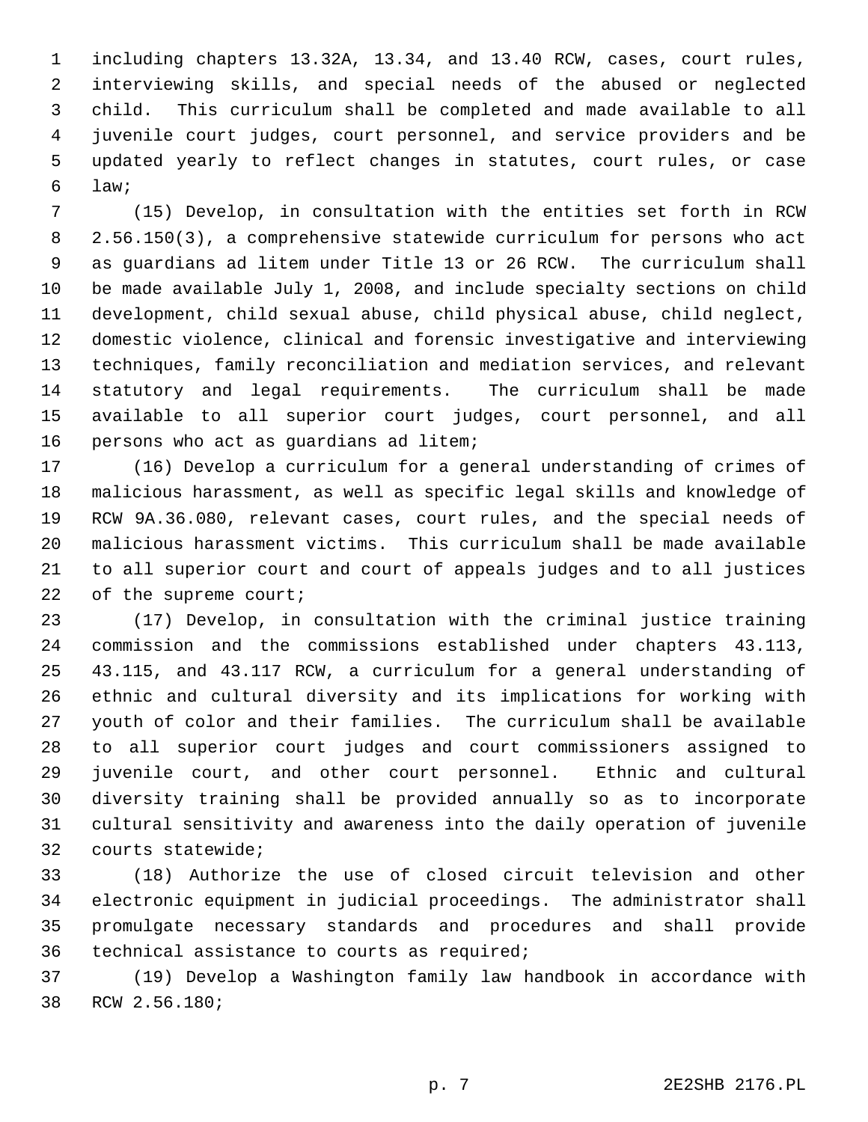including chapters 13.32A, 13.34, and 13.40 RCW, cases, court rules, interviewing skills, and special needs of the abused or neglected child. This curriculum shall be completed and made available to all juvenile court judges, court personnel, and service providers and be updated yearly to reflect changes in statutes, court rules, or case law;

 (15) Develop, in consultation with the entities set forth in RCW 2.56.150(3), a comprehensive statewide curriculum for persons who act as guardians ad litem under Title 13 or 26 RCW. The curriculum shall be made available July 1, 2008, and include specialty sections on child development, child sexual abuse, child physical abuse, child neglect, domestic violence, clinical and forensic investigative and interviewing techniques, family reconciliation and mediation services, and relevant statutory and legal requirements. The curriculum shall be made available to all superior court judges, court personnel, and all persons who act as guardians ad litem;

 (16) Develop a curriculum for a general understanding of crimes of malicious harassment, as well as specific legal skills and knowledge of RCW 9A.36.080, relevant cases, court rules, and the special needs of malicious harassment victims. This curriculum shall be made available to all superior court and court of appeals judges and to all justices 22 of the supreme court;

 (17) Develop, in consultation with the criminal justice training commission and the commissions established under chapters 43.113, 43.115, and 43.117 RCW, a curriculum for a general understanding of ethnic and cultural diversity and its implications for working with youth of color and their families. The curriculum shall be available to all superior court judges and court commissioners assigned to juvenile court, and other court personnel. Ethnic and cultural diversity training shall be provided annually so as to incorporate cultural sensitivity and awareness into the daily operation of juvenile courts statewide;

 (18) Authorize the use of closed circuit television and other electronic equipment in judicial proceedings. The administrator shall promulgate necessary standards and procedures and shall provide technical assistance to courts as required;

 (19) Develop a Washington family law handbook in accordance with RCW 2.56.180;